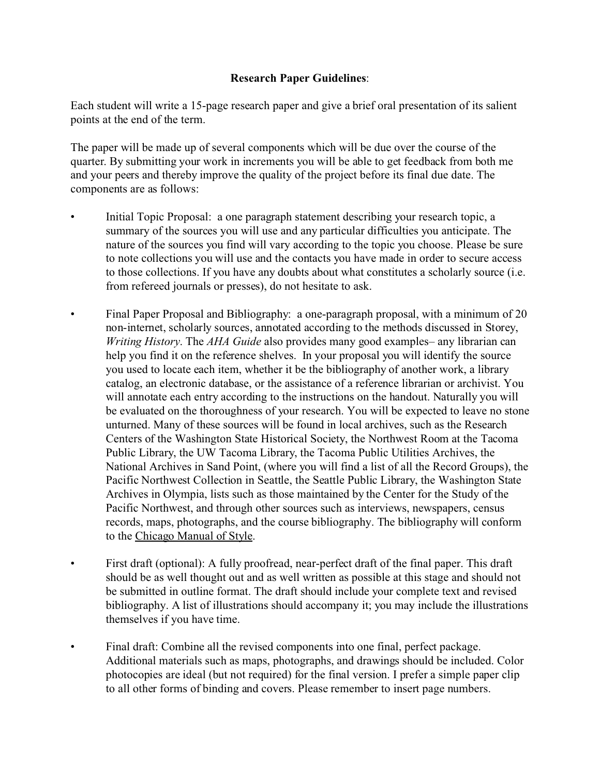## **Research Paper Guidelines**:

Each student will write a 15-page research paper and give a brief oral presentation of its salient points at the end of the term.

The paper will be made up of several components which will be due over the course of the quarter. By submitting your work in increments you will be able to get feedback from both me and your peers and thereby improve the quality of the project before its final due date. The components are as follows:

- Initial Topic Proposal: a one paragraph statement describing your research topic, a summary of the sources you will use and any particular difficulties you anticipate. The nature of the sources you find will vary according to the topic you choose. Please be sure to note collections you will use and the contacts you have made in order to secure access to those collections. If you have any doubts about what constitutes a scholarly source (i.e. from refereed journals or presses), do not hesitate to ask.
- Final Paper Proposal and Bibliography: a one-paragraph proposal, with a minimum of 20 non-internet, scholarly sources, annotated according to the methods discussed in Storey, *Writing History*. The *AHA Guide* also provides many good examples– any librarian can help you find it on the reference shelves. In your proposal you will identify the source you used to locate each item, whether it be the bibliography of another work, a library catalog, an electronic database, or the assistance of a reference librarian or archivist. You will annotate each entry according to the instructions on the handout. Naturally you will be evaluated on the thoroughness of your research. You will be expected to leave no stone unturned. Many of these sources will be found in local archives, such as the Research Centers of the Washington State Historical Society, the Northwest Room at the Tacoma Public Library, the UW Tacoma Library, the Tacoma Public Utilities Archives, the National Archives in Sand Point, (where you will find a list of all the Record Groups), the Pacific Northwest Collection in Seattle, the Seattle Public Library, the Washington State Archives in Olympia, lists such as those maintained by the Center for the Study of the Pacific Northwest, and through other sources such as interviews, newspapers, census records, maps, photographs, and the course bibliography. The bibliography will conform to the Chicago Manual of Style.
- First draft (optional): A fully proofread, near-perfect draft of the final paper. This draft should be as well thought out and as well written as possible at this stage and should not be submitted in outline format. The draft should include your complete text and revised bibliography. A list of illustrations should accompany it; you may include the illustrations themselves if you have time.
- Final draft: Combine all the revised components into one final, perfect package. Additional materials such as maps, photographs, and drawings should be included. Color photocopies are ideal (but not required) for the final version. I prefer a simple paper clip to all other forms of binding and covers. Please remember to insert page numbers.